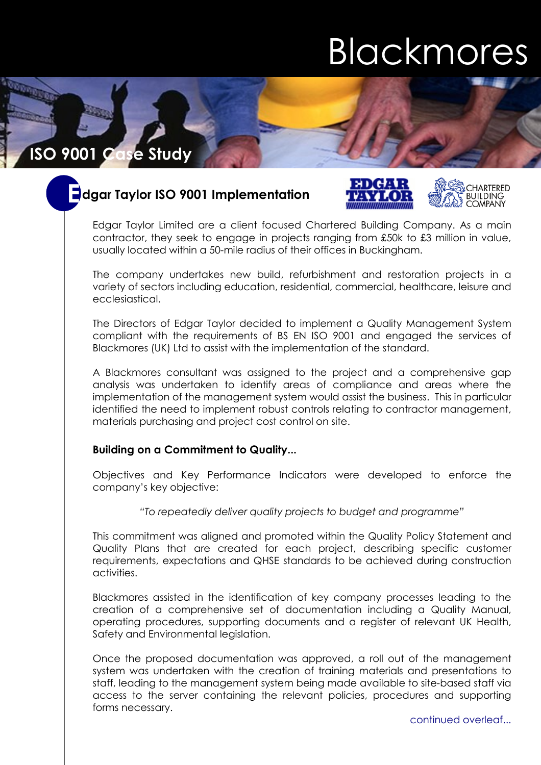# **Blackmores**

## **ISO 9001 Case Study**

## **dgar Taylor ISO 9001 Implementation E**





Edgar Taylor Limited are a client focused Chartered Building Company. As a main contractor, they seek to engage in projects ranging from £50k to £3 million in value, usually located within a 50-mile radius of their offices in Buckingham.

The company undertakes new build, refurbishment and restoration projects in a variety of sectors including education, residential, commercial, healthcare, leisure and ecclesiastical.

The Directors of Edgar Taylor decided to implement a Quality Management System compliant with the requirements of BS EN ISO 9001 and engaged the services of Blackmores (UK) Ltd to assist with the implementation of the standard.

A Blackmores consultant was assigned to the project and a comprehensive gap analysis was undertaken to identify areas of compliance and areas where the implementation of the management system would assist the business. This in particular identified the need to implement robust controls relating to contractor management, materials purchasing and project cost control on site.

### **Building on a Commitment to Quality...**

Objectives and Key Performance Indicators were developed to enforce the company's key objective:

#### *"To repeatedly deliver quality projects to budget and programme"*

This commitment was aligned and promoted within the Quality Policy Statement and Quality Plans that are created for each project, describing specific customer requirements, expectations and QHSE standards to be achieved during construction activities.

Blackmores assisted in the identification of key company processes leading to the creation of a comprehensive set of documentation including a Quality Manual, operating procedures, supporting documents and a register of relevant UK Health, Safety and Environmental legislation.

Once the proposed documentation was approved, a roll out of the management system was undertaken with the creation of training materials and presentations to staff, leading to the management system being made available to site-based staff via access to the server containing the relevant policies, procedures and supporting forms necessary.